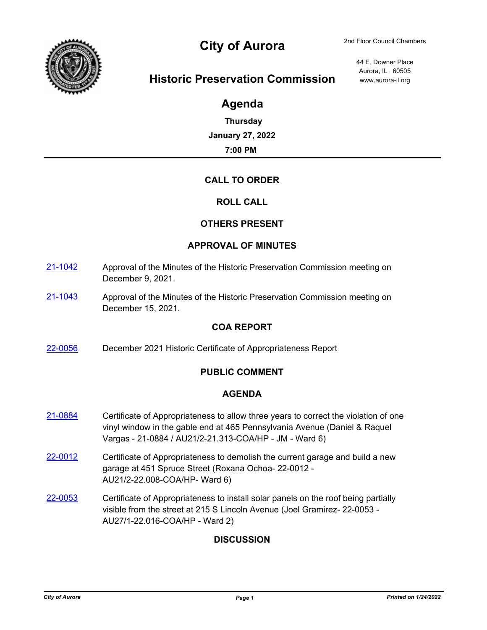

# City of Aurora 2nd Floor Council Chambers

44 E. Downer Place Aurora, IL 60505

## **Historic Preservation Commission** www.aurora-il.org

## **Agenda**

**Thursday January 27, 2022 7:00 PM**

## **CALL TO ORDER**

## **ROLL CALL**

## **OTHERS PRESENT**

#### **APPROVAL OF MINUTES**

- [21-1042](http://aurora-il.legistar.com/gateway.aspx?m=l&id=/matter.aspx?key=11059) Approval of the Minutes of the Historic Preservation Commission meeting on December 9, 2021.
- [21-1043](http://aurora-il.legistar.com/gateway.aspx?m=l&id=/matter.aspx?key=11060) Approval of the Minutes of the Historic Preservation Commission meeting on December 15, 2021.

#### **COA REPORT**

[22-0056](http://aurora-il.legistar.com/gateway.aspx?m=l&id=/matter.aspx?key=11145) December 2021 Historic Certificate of Appropriateness Report

## **PUBLIC COMMENT**

#### **AGENDA**

- [21-0884](http://aurora-il.legistar.com/gateway.aspx?m=l&id=/matter.aspx?key=10901) Certificate of Appropriateness to allow three years to correct the violation of one vinyl window in the gable end at 465 Pennsylvania Avenue (Daniel & Raquel Vargas - 21-0884 / AU21/2-21.313-COA/HP - JM - Ward 6)
- $22-0012$  Certificate of Appropriateness to demolish the current garage and build a new garage at 451 Spruce Street (Roxana Ochoa- 22-0012 - AU21/2-22.008-COA/HP- Ward 6)
- [22-0053](http://aurora-il.legistar.com/gateway.aspx?m=l&id=/matter.aspx?key=11142) Certificate of Appropriateness to install solar panels on the roof being partially visible from the street at 215 S Lincoln Avenue (Joel Gramirez- 22-0053 - AU27/1-22.016-COA/HP - Ward 2)

## **DISCUSSION**